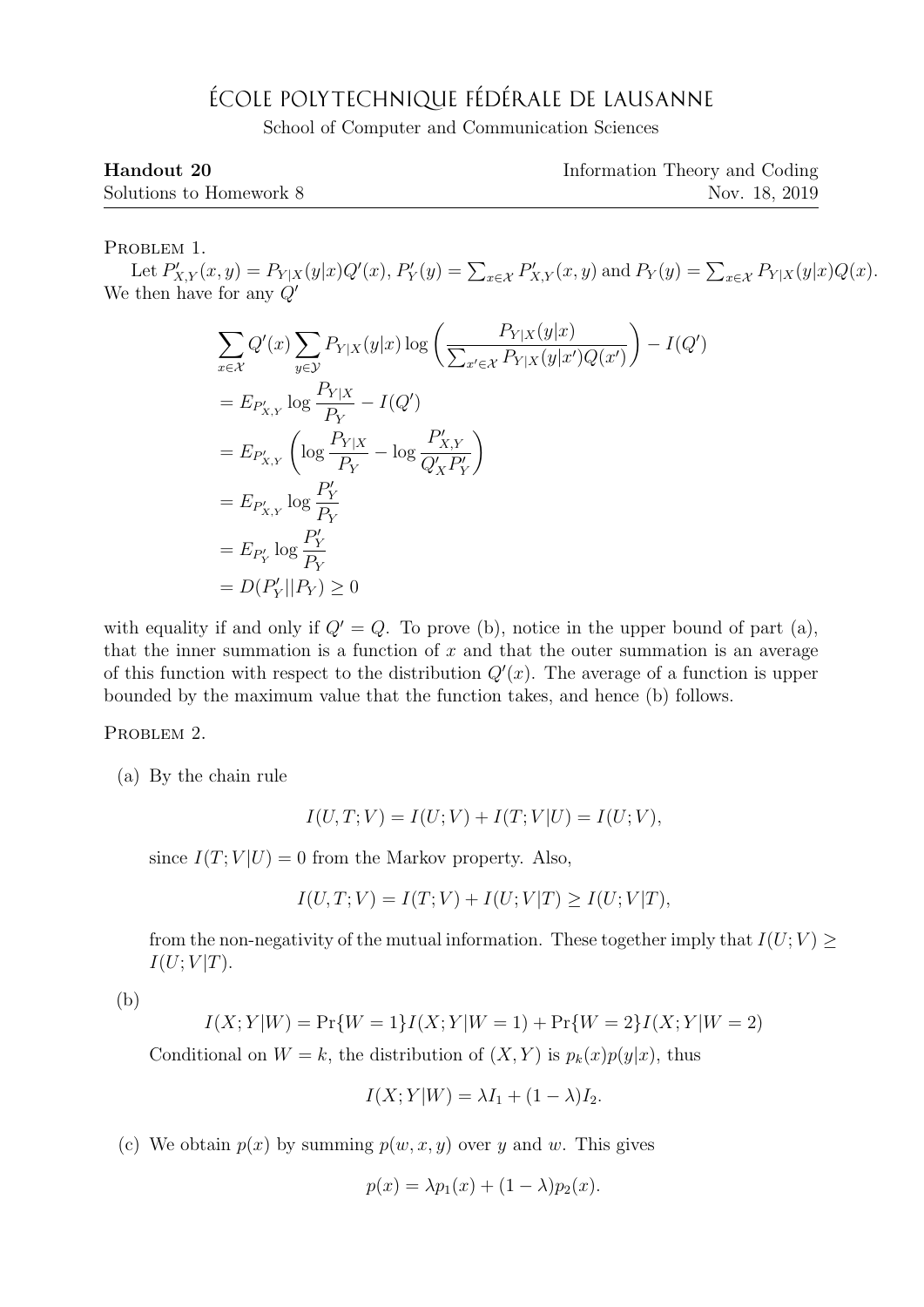## ÉCOLE POLYTECHNIQUE FÉDÉRALE DE LAUSANNE

School of Computer and Communication Sciences

| Handout 20              | Information Theory and Coding |
|-------------------------|-------------------------------|
| Solutions to Homework 8 | Nov. 18, 2019                 |

PROBLEM 1.

Let  $P'_{X,Y}(x,y) = P_{Y|X}(y|x)Q'(x), P'_{Y}(y) = \sum_{x \in X} P'_{X,Y}(x,y)$  and  $P_{Y}(y) = \sum_{x \in X} P'_{Y|X}(y|x)Q(x)$ . We then have for any  $Q'$ 

$$
\sum_{x \in \mathcal{X}} Q'(x) \sum_{y \in \mathcal{Y}} P_{Y|X}(y|x) \log \left( \frac{P_{Y|X}(y|x)}{\sum_{x' \in \mathcal{X}} P_{Y|X}(y|x')Q(x')} \right) - I(Q')
$$
  
=  $E_{P'_{X,Y}} \log \frac{P_{Y|X}}{P_Y} - I(Q')$   
=  $E_{P'_{X,Y}} \left( \log \frac{P_{Y|X}}{P_Y} - \log \frac{P'_{X,Y}}{Q'_{X}P'_{Y}} \right)$   
=  $E_{P'_{X,Y}} \log \frac{P'_{Y}}{P_Y}$   
=  $E_{P'_{Y}} \log \frac{P'_{Y}}{P_Y}$   
=  $D(P'_{Y}||P_{Y}) \ge 0$ 

with equality if and only if  $Q' = Q$ . To prove (b), notice in the upper bound of part (a), that the inner summation is a function of  $x$  and that the outer summation is an average of this function with respect to the distribution  $Q'(x)$ . The average of a function is upper bounded by the maximum value that the function takes, and hence (b) follows.

PROBLEM 2.

(a) By the chain rule

$$
I(U, T; V) = I(U; V) + I(T; V|U) = I(U; V),
$$

since  $I(T; V|U) = 0$  from the Markov property. Also,

$$
I(U, T; V) = I(T; V) + I(U; V|T) \ge I(U; V|T),
$$

from the non-negativity of the mutual information. These together imply that  $I(U;V) \geq$  $I(U;V|T)$ .

(b)

 $I(X; Y | W) = Pr{W = 1}I(X; Y | W = 1) + Pr{W = 2}I(X; Y | W = 2)$ 

Conditional on  $W = k$ , the distribution of  $(X, Y)$  is  $p_k(x)p(y|x)$ , thus

$$
I(X;Y|W) = \lambda I_1 + (1 - \lambda)I_2.
$$

(c) We obtain  $p(x)$  by summing  $p(w, x, y)$  over y and w. This gives

$$
p(x) = \lambda p_1(x) + (1 - \lambda)p_2(x).
$$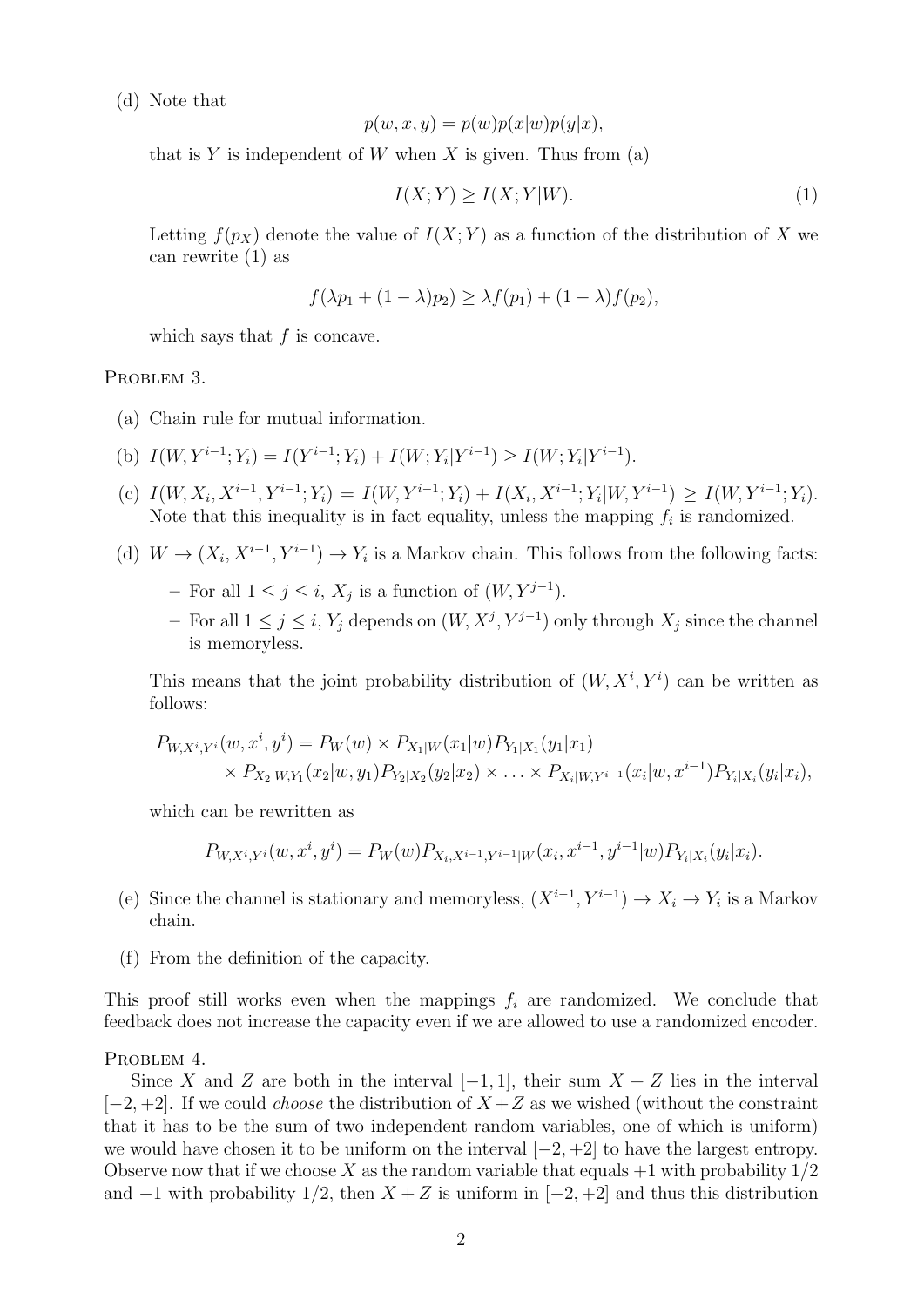(d) Note that

$$
p(w, x, y) = p(w)p(x|w)p(y|x),
$$

that is Y is independent of W when X is given. Thus from  $(a)$ 

$$
I(X;Y) \ge I(X;Y|W). \tag{1}
$$

Letting  $f(p_X)$  denote the value of  $I(X; Y)$  as a function of the distribution of X we can rewrite (1) as

$$
f(\lambda p_1 + (1 - \lambda)p_2) \ge \lambda f(p_1) + (1 - \lambda)f(p_2),
$$

which says that  $f$  is concave.

## PROBLEM 3.

- (a) Chain rule for mutual information.
- (b)  $I(W, Y^{i-1}; Y_i) = I(Y^{i-1}; Y_i) + I(W; Y_i | Y^{i-1}) \ge I(W; Y_i | Y^{i-1}).$
- (c)  $I(W, X_i, X^{i-1}, Y^{i-1}; Y_i) = I(W, Y^{i-1}; Y_i) + I(X_i, X^{i-1}; Y_i | W, Y^{i-1}) \ge I(W, Y^{i-1}; Y_i).$ Note that this inequality is in fact equality, unless the mapping  $f_i$  is randomized.
- (d)  $W \to (X_i, X^{i-1}, Y^{i-1}) \to Y_i$  is a Markov chain. This follows from the following facts:
	- − For all  $1 \leq j \leq i$ ,  $X_j$  is a function of  $(W, Y^{j-1})$ .
	- $-$  For all  $1 \leq j \leq i$ ,  $Y_j$  depends on  $(W, X^j, Y^{j-1})$  only through  $X_j$  since the channel is memoryless.

This means that the joint probability distribution of  $(W, X^i, Y^i)$  can be written as follows:

$$
P_{W,X^i,Y^i}(w,x^i,y^i) = P_W(w) \times P_{X_1|W}(x_1|w)P_{Y_1|X_1}(y_1|x_1)
$$
  
\$\times P\_{X\_2|W,Y\_1}(x\_2|w,y\_1)P\_{Y\_2|X\_2}(y\_2|x\_2) \times \ldots \times P\_{X\_i|W,Y^{i-1}}(x\_i|w,x^{i-1})P\_{Y\_i|X\_i}(y\_i|x\_i)\$,

which can be rewritten as

$$
P_{W,X^i,Y^i}(w,x^i,y^i) = P_W(w)P_{X_i,X^{i-1},Y^{i-1}|W}(x_i,x^{i-1},y^{i-1}|w)P_{Y_i|X_i}(y_i|x_i).
$$

- (e) Since the channel is stationary and memoryless,  $(X^{i-1}, Y^{i-1}) \to X_i \to Y_i$  is a Markov chain.
- (f) From the definition of the capacity.

This proof still works even when the mappings  $f_i$  are randomized. We conclude that feedback does not increase the capacity even if we are allowed to use a randomized encoder.

## PROBLEM 4.

Since X and Z are both in the interval  $[-1, 1]$ , their sum  $X + Z$  lies in the interval  $[-2, +2]$ . If we could *choose* the distribution of  $X + Z$  as we wished (without the constraint that it has to be the sum of two independent random variables, one of which is uniform) we would have chosen it to be uniform on the interval  $[-2, +2]$  to have the largest entropy. Observe now that if we choose X as the random variable that equals  $+1$  with probability  $1/2$ and  $-1$  with probability  $1/2$ , then  $X + Z$  is uniform in  $[-2, +2]$  and thus this distribution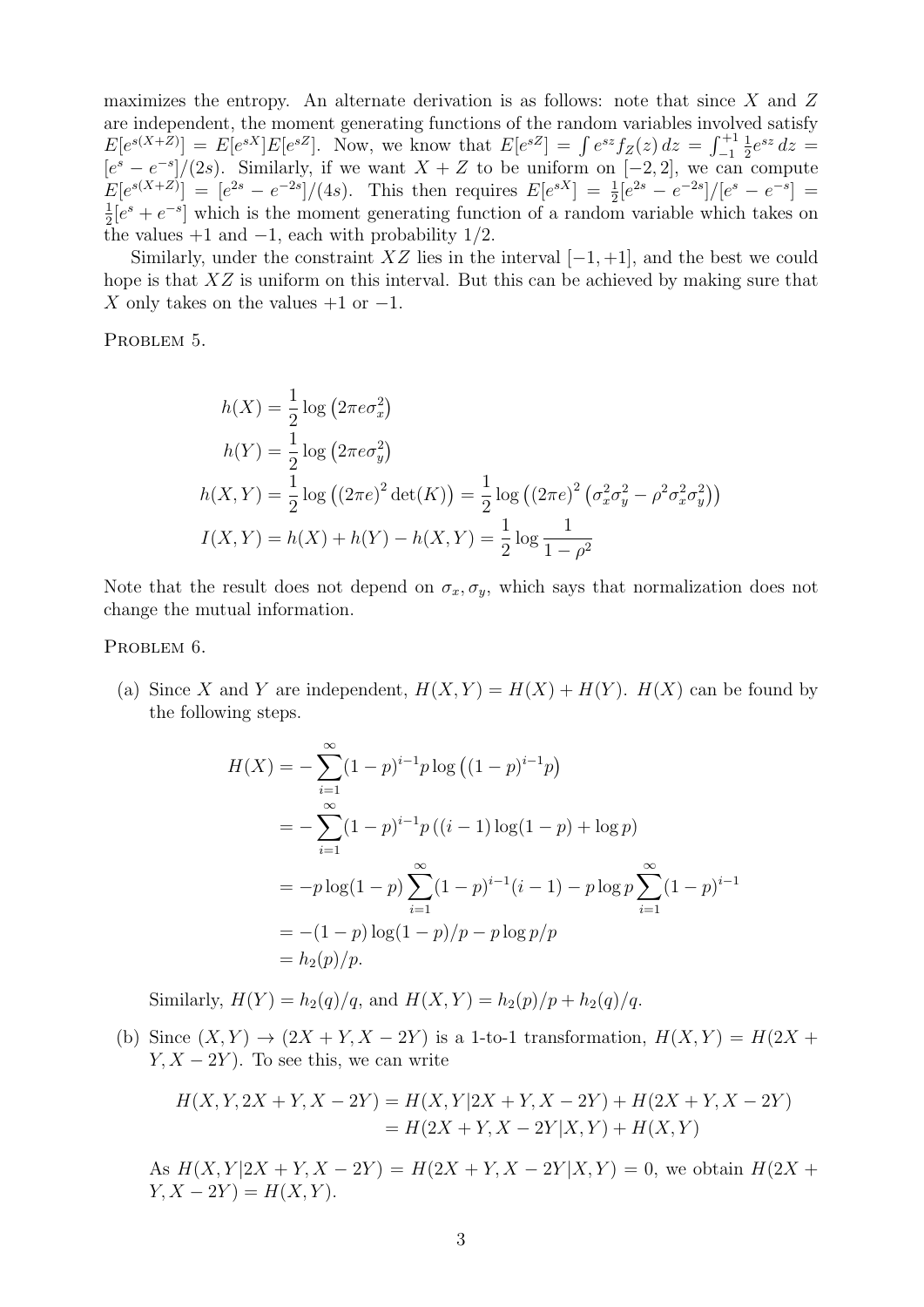maximizes the entropy. An alternate derivation is as follows: note that since  $X$  and  $Z$ are independent, the moment generating functions of the random variables involved satisfy  $E[e^{s(X+\tilde{Z})}] = E[e^{sX}]E[e^{sZ}]$ . Now, we know that  $E[e^{sZ}] = \int e^{sz} f_Z(z) dz = \int_{-1}^{+1}$ 1  $\frac{1}{2}e^{sz} dz =$  $[e^{s}-e^{-s}]/(2s)$ . Similarly, if we want  $X+Z$  to be uniform on  $[-2,2]$ , we can compute  $E[e^{s(X+Z)}] = [e^{2s} - e^{-2s}]/(4s)$ . This then requires  $E[e^{sX}] = \frac{1}{2}[e^{2s} - e^{-2s}]/[e^{s} - e^{-s}]$ 1  $\frac{1}{2}[e^{s}+e^{-s}]$  which is the moment generating function of a random variable which takes on the values  $+1$  and  $-1$ , each with probability  $1/2$ .

Similarly, under the constraint  $XZ$  lies in the interval  $[-1, +1]$ , and the best we could hope is that XZ is uniform on this interval. But this can be achieved by making sure that X only takes on the values  $+1$  or  $-1$ .

PROBLEM 5.

$$
h(X) = \frac{1}{2} \log (2\pi e \sigma_x^2)
$$
  
\n
$$
h(Y) = \frac{1}{2} \log (2\pi e \sigma_y^2)
$$
  
\n
$$
h(X, Y) = \frac{1}{2} \log ((2\pi e)^2 \det(K)) = \frac{1}{2} \log ((2\pi e)^2 (\sigma_x^2 \sigma_y^2 - \rho^2 \sigma_x^2 \sigma_y^2))
$$
  
\n
$$
I(X, Y) = h(X) + h(Y) - h(X, Y) = \frac{1}{2} \log \frac{1}{1 - \rho^2}
$$

Note that the result does not depend on  $\sigma_x, \sigma_y$ , which says that normalization does not change the mutual information.

PROBLEM 6.

(a) Since X and Y are independent,  $H(X, Y) = H(X) + H(Y)$ .  $H(X)$  can be found by the following steps.

$$
H(X) = -\sum_{i=1}^{\infty} (1-p)^{i-1} p \log ((1-p)^{i-1} p)
$$
  
=  $-\sum_{i=1}^{\infty} (1-p)^{i-1} p ((i-1) \log(1-p) + \log p)$   
=  $-p \log(1-p) \sum_{i=1}^{\infty} (1-p)^{i-1} (i-1) - p \log p \sum_{i=1}^{\infty} (1-p)^{i-1}$   
=  $-(1-p) \log(1-p)/p - p \log p/p$   
=  $h_2(p)/p$ .

Similarly,  $H(Y) = h_2(q)/q$ , and  $H(X, Y) = h_2(p)/p + h_2(q)/q$ .

(b) Since  $(X, Y) \rightarrow (2X + Y, X - 2Y)$  is a 1-to-1 transformation,  $H(X, Y) = H(2X + Y, X - 2Y)$  $Y, X - 2Y$ ). To see this, we can write

$$
H(X, Y, 2X + Y, X - 2Y) = H(X, Y|2X + Y, X - 2Y) + H(2X + Y, X - 2Y)
$$
  
=  $H(2X + Y, X - 2Y|X, Y) + H(X, Y)$ 

As  $H(X, Y|2X + Y, X - 2Y) = H(2X + Y, X - 2Y|X, Y) = 0$ , we obtain  $H(2X + Y, X - 2Y) = 0$  $Y, X - 2Y$  =  $H(X, Y)$ .